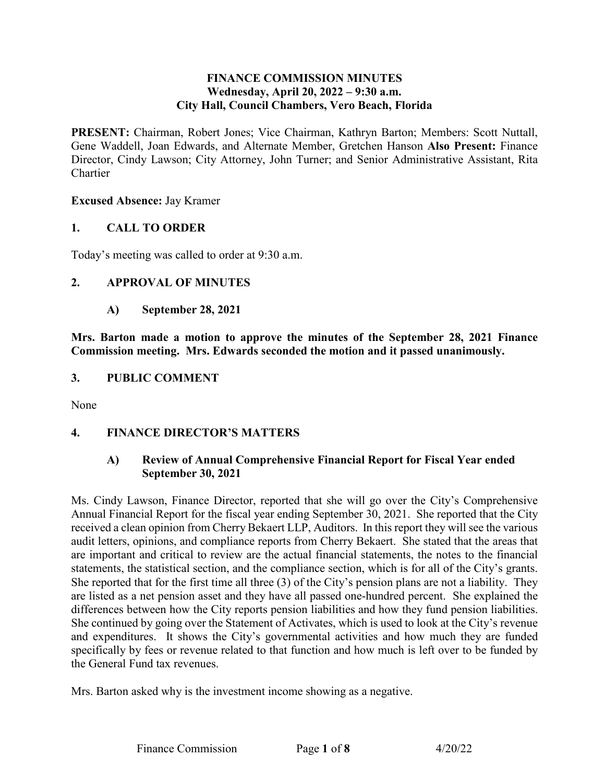### **FINANCE COMMISSION MINUTES**  Wednesday, April 20, 2022 – 9:30 a.m. **City Hall, Council Chambers, Vero Beach, Florida**

 Director, Cindy Lawson; City Attorney, John Turner; and Senior Administrative Assistant, Rita **PRESENT:** Chairman, Robert Jones; Vice Chairman, Kathryn Barton; Members: Scott Nuttall, Gene Waddell, Joan Edwards, and Alternate Member, Gretchen Hanson **Also Present:** Finance Chartier

#### **Excused Absence:** Jay Kramer

### **1. CALL TO ORDER**

Today's meeting was called to order at 9:30 a.m.

### **2. APPROVAL OF MINUTES**

### **A) September 28, 2021**

 **Commission meeting. Mrs. Edwards seconded the motion and it passed unanimously. Mrs. Barton made a motion to approve the minutes of the September 28, 2021 Finance** 

#### **3. PUBLIC COMMENT**

None

### **4. FINANCE DIRECTOR'S MATTERS**

### **A) Review of Annual Comprehensive Financial Report for Fiscal Year ended September 30, 2021**

 audit letters, opinions, and compliance reports from Cherry Bekaert. She stated that the areas that statements, the statistical section, and the compliance section, which is for all of the City's grants. She reported that for the first time all three (3) of the City's pension plans are not a liability. They are listed as a net pension asset and they have all passed one-hundred percent. She explained the differences between how the City reports pension liabilities and how they fund pension liabilities. the General Fund tax revenues. Ms. Cindy Lawson, Finance Director, reported that she will go over the City's Comprehensive Annual Financial Report for the fiscal year ending September 30, 2021. She reported that the City received a clean opinion from Cherry Bekaert LLP, Auditors. In this report they will see the various are important and critical to review are the actual financial statements, the notes to the financial She continued by going over the Statement of Activates, which is used to look at the City's revenue and expenditures. It shows the City's governmental activities and how much they are funded specifically by fees or revenue related to that function and how much is left over to be funded by

Mrs. Barton asked why is the investment income showing as a negative.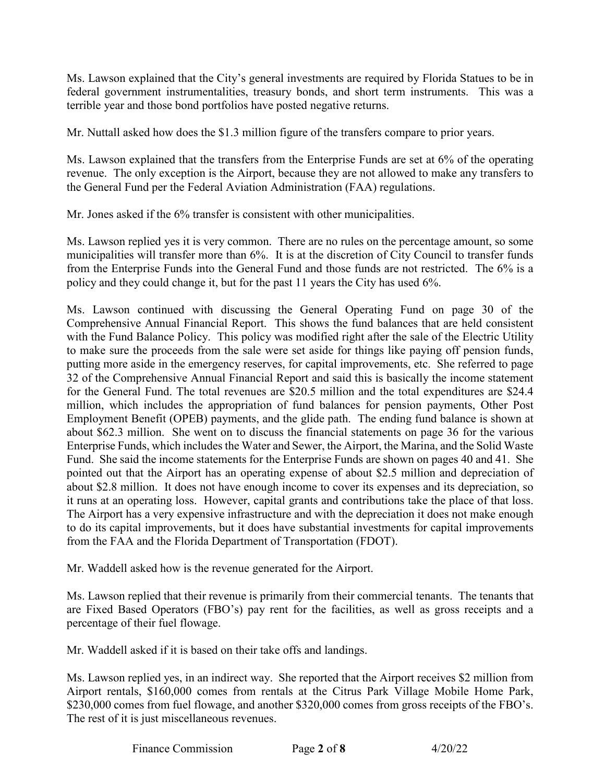terrible year and those bond portfolios have posted negative returns. Ms. Lawson explained that the City's general investments are required by Florida Statues to be in federal government instrumentalities, treasury bonds, and short term instruments. This was a

Mr. Nuttall asked how does the \$1.3 million figure of the transfers compare to prior years.

 revenue. The only exception is the Airport, because they are not allowed to make any transfers to Ms. Lawson explained that the transfers from the Enterprise Funds are set at 6% of the operating the General Fund per the Federal Aviation Administration (FAA) regulations.

Mr. Jones asked if the 6% transfer is consistent with other municipalities.

Mr. Jones asked if the 6% transfer is consistent with other municipalities.<br>Ms. Lawson replied yes it is very common. There are no rules on the percentage amount, so some municipalities will transfer more than 6%. It is at the discretion of City Council to transfer funds from the Enterprise Funds into the General Fund and those funds are not restricted. The 6% is a policy and they could change it, but for the past 11 years the City has used 6%.

 Ms. Lawson continued with discussing the General Operating Fund on page 30 of the putting more aside in the emergency reserves, for capital improvements, etc. She referred to page for the General Fund. The total revenues are \$20.5 million and the total expenditures are \$24.4 about \$62.3 million. She went on to discuss the financial statements on page 36 for the various Fund. She said the income statements for the Enterprise Funds are shown on pages 40 and 41. She about \$2.8 million. It does not have enough income to cover its expenses and its depreciation, so it runs at an operating loss. However, capital grants and contributions take the place of that loss. The Airport has a very expensive infrastructure and with the depreciation it does not make enough from the FAA and the Florida Department of Transportation (FDOT). Comprehensive Annual Financial Report. This shows the fund balances that are held consistent with the Fund Balance Policy. This policy was modified right after the sale of the Electric Utility to make sure the proceeds from the sale were set aside for things like paying off pension funds, 32 of the Comprehensive Annual Financial Report and said this is basically the income statement million, which includes the appropriation of fund balances for pension payments, Other Post Employment Benefit (OPEB) payments, and the glide path. The ending fund balance is shown at Enterprise Funds, which includes the Water and Sewer, the Airport, the Marina, and the Solid Waste pointed out that the Airport has an operating expense of about \$2.5 million and depreciation of to do its capital improvements, but it does have substantial investments for capital improvements

Mr. Waddell asked how is the revenue generated for the Airport.

 are Fixed Based Operators (FBO's) pay rent for the facilities, as well as gross receipts and a percentage of their fuel flowage. Ms. Lawson replied that their revenue is primarily from their commercial tenants. The tenants that

Mr. Waddell asked if it is based on their take offs and landings.

 Ms. Lawson replied yes, in an indirect way. She reported that the Airport receives \$2 million from Airport rentals, \$160,000 comes from rentals at the Citrus Park Village Mobile Home Park, \$230,000 comes from fuel flowage, and another \$320,000 comes from gross receipts of the FBO's. The rest of it is just miscellaneous revenues.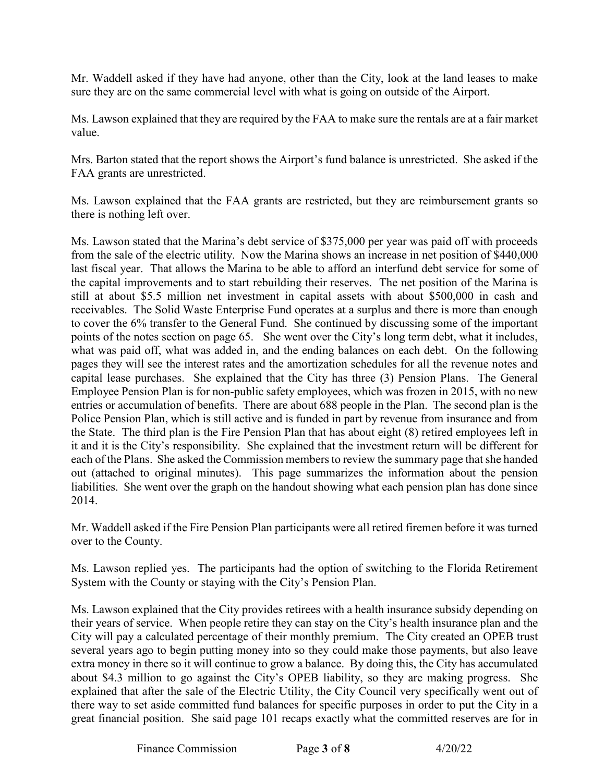sure they are on the same commercial level with what is going on outside of the Airport. Mr. Waddell asked if they have had anyone, other than the City, look at the land leases to make

Ms. Lawson explained that they are required by the FAA to make sure the rentals are at a fair market value.

Mrs. Barton stated that the report shows the Airport's fund balance is unrestricted. She asked if the FAA grants are unrestricted.

there is nothing left over. Ms. Lawson explained that the FAA grants are restricted, but they are reimbursement grants so

there is nothing left over.<br>Ms. Lawson stated that the Marina's debt service of \$375,000 per year was paid off with proceeds last fiscal year. That allows the Marina to be able to afford an interfund debt service for some of the capital improvements and to start rebuilding their reserves. The net position of the Marina is still at about \$5.5 million net investment in capital assets with about \$500,000 in cash and points of the notes section on page 65. She went over the City's long term debt, what it includes, entries or accumulation of benefits. There are about 688 people in the Plan. The second plan is the it and it is the City's responsibility. She explained that the investment return will be different for liabilities. She went over the graph on the handout showing what each pension plan has done since from the sale of the electric utility. Now the Marina shows an increase in net position of \$440,000 receivables. The Solid Waste Enterprise Fund operates at a surplus and there is more than enough to cover the 6% transfer to the General Fund. She continued by discussing some of the important what was paid off, what was added in, and the ending balances on each debt. On the following pages they will see the interest rates and the amortization schedules for all the revenue notes and capital lease purchases. She explained that the City has three (3) Pension Plans. The General Employee Pension Plan is for non-public safety employees, which was frozen in 2015, with no new Police Pension Plan, which is still active and is funded in part by revenue from insurance and from the State. The third plan is the Fire Pension Plan that has about eight (8) retired employees left in each of the Plans. She asked the Commission members to review the summary page that she handed out (attached to original minutes). This page summarizes the information about the pension 2014.

 Mr. Waddell asked if the Fire Pension Plan participants were all retired firemen before it was turned over to the County.

 Ms. Lawson replied yes. The participants had the option of switching to the Florida Retirement System with the County or staying with the City's Pension Plan.

 City will pay a calculated percentage of their monthly premium. The City created an OPEB trust several years ago to begin putting money into so they could make those payments, but also leave about \$4.3 million to go against the City's OPEB liability, so they are making progress. She great financial position. She said page 101 recaps exactly what the committed reserves are for in Ms. Lawson explained that the City provides retirees with a health insurance subsidy depending on their years of service. When people retire they can stay on the City's health insurance plan and the extra money in there so it will continue to grow a balance. By doing this, the City has accumulated explained that after the sale of the Electric Utility, the City Council very specifically went out of there way to set aside committed fund balances for specific purposes in order to put the City in a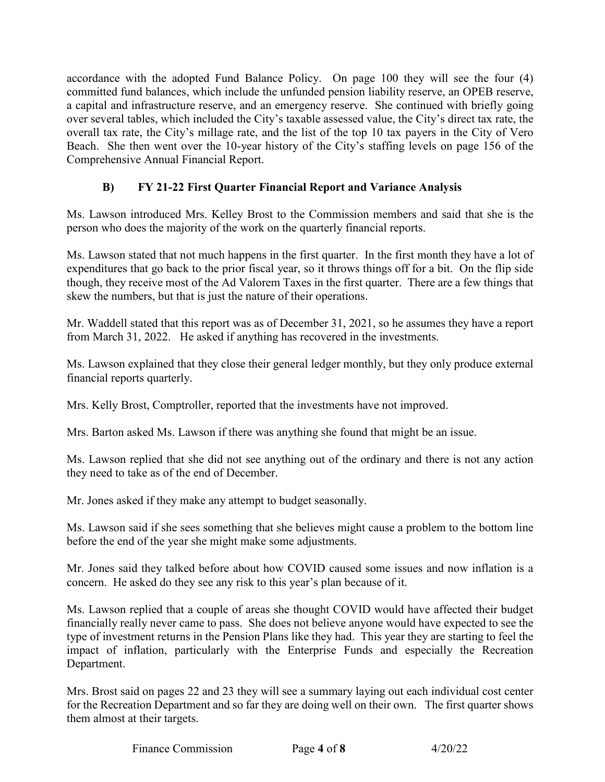a capital and infrastructure reserve, and an emergency reserve. She continued with briefly going over several tables, which included the City's taxable assessed value, the City's direct tax rate, the accordance with the adopted Fund Balance Policy. On page 100 they will see the four (4) committed fund balances, which include the unfunded pension liability reserve, an OPEB reserve, overall tax rate, the City's millage rate, and the list of the top 10 tax payers in the City of Vero Beach. She then went over the 10-year history of the City's staffing levels on page 156 of the Comprehensive Annual Financial Report.

# **B) FY 21-22 First Quarter Financial Report and Variance Analysis**

person who does the majority of the work on the quarterly financial reports. Ms. Lawson introduced Mrs. Kelley Brost to the Commission members and said that she is the

Ms. Lawson stated that not much happens in the first quarter. In the first month they have a lot of expenditures that go back to the prior fiscal year, so it throws things off for a bit. On the flip side though, they receive most of the Ad Valorem Taxes in the first quarter. There are a few things that skew the numbers, but that is just the nature of their operations.

 Mr. Waddell stated that this report was as of December 31, 2021, so he assumes they have a report from March 31, 2022. He asked if anything has recovered in the investments.

financial reports quarterly. Ms. Lawson explained that they close their general ledger monthly, but they only produce external

financial reports quarterly.<br>Mrs. Kelly Brost, Comptroller, reported that the investments have not improved.

Mrs. Barton asked Ms. Lawson if there was anything she found that might be an issue.

 Ms. Lawson replied that she did not see anything out of the ordinary and there is not any action they need to take as of the end of December.

they need to take as of the end of December.<br>Mr. Jones asked if they make any attempt to budget seasonally.

 Ms. Lawson said if she sees something that she believes might cause a problem to the bottom line before the end of the year she might make some adjustments.

 Mr. Jones said they talked before about how COVID caused some issues and now inflation is a concern. He asked do they see any risk to this year's plan because of it.

 Ms. Lawson replied that a couple of areas she thought COVID would have affected their budget financially really never came to pass. She does not believe anyone would have expected to see the type of investment returns in the Pension Plans like they had. This year they are starting to feel the impact of inflation, particularly with the Enterprise Funds and especially the Recreation Department.

 Mrs. Brost said on pages 22 and 23 they will see a summary laying out each individual cost center for the Recreation Department and so far they are doing well on their own. The first quarter shows them almost at their targets.

Finance Commission Page 4 of 8 4/20/22

Page 4 of 8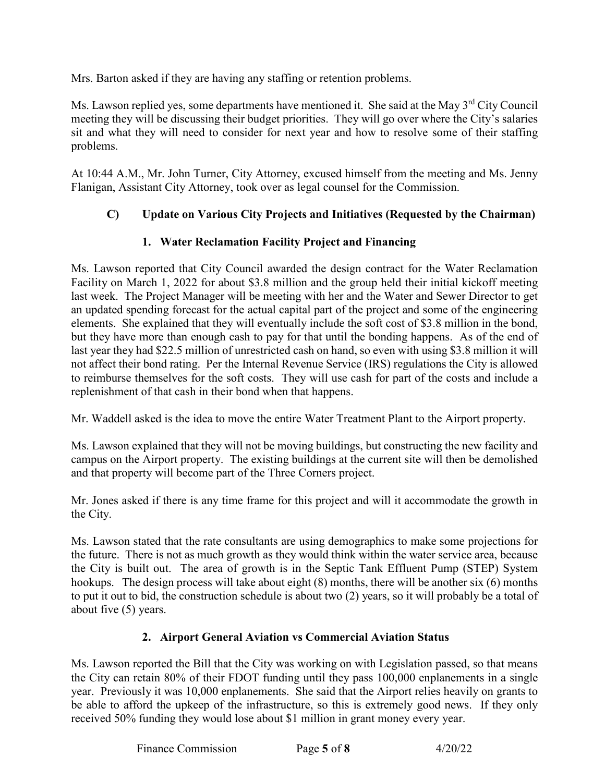Mrs. Barton asked if they are having any staffing or retention problems.

Ms. Lawson replied yes, some departments have mentioned it. She said at the May 3<sup>rd</sup> City Council meeting they will be discussing their budget priorities. They will go over where the City's salaries sit and what they will need to consider for next year and how to resolve some of their staffing problems.

 At 10:44 A.M., Mr. John Turner, City Attorney, excused himself from the meeting and Ms. Jenny Flanigan, Assistant City Attorney, took over as legal counsel for the Commission.

# **C) Update on Various City Projects and Initiatives (Requested by the Chairman)**

## **1. Water Reclamation Facility Project and Financing**

 last week. The Project Manager will be meeting with her and the Water and Sewer Director to get an updated spending forecast for the actual capital part of the project and some of the engineering not affect their bond rating. Per the Internal Revenue Service (IRS) regulations the City is allowed to reimburse themselves for the soft costs. They will use cash for part of the costs and include a replenishment of that cash in their bond when that happens. Ms. Lawson reported that City Council awarded the design contract for the Water Reclamation Facility on March 1, 2022 for about \$3.8 million and the group held their initial kickoff meeting elements. She explained that they will eventually include the soft cost of \$3.8 million in the bond, but they have more than enough cash to pay for that until the bonding happens. As of the end of last year they had \$22.5 million of unrestricted cash on hand, so even with using \$3.8 million it will

replenishment of that cash in their bond when that happens.<br>Mr. Waddell asked is the idea to move the entire Water Treatment Plant to the Airport property.

 campus on the Airport property. The existing buildings at the current site will then be demolished and that property will become part of the Three Corners project. Ms. Lawson explained that they will not be moving buildings, but constructing the new facility and

Mr. Jones asked if there is any time frame for this project and will it accommodate the growth in the City.

 Ms. Lawson stated that the rate consultants are using demographics to make some projections for the future. There is not as much growth as they would think within the water service area, because hookups. The design process will take about eight (8) months, there will be another six (6) months to put it out to bid, the construction schedule is about two (2) years, so it will probably be a total of about five (5) years. the City is built out. The area of growth is in the Septic Tank Effluent Pump (STEP) System

## **2. Airport General Aviation vs Commercial Aviation Status**

 Ms. Lawson reported the Bill that the City was working on with Legislation passed, so that means the City can retain 80% of their FDOT funding until they pass 100,000 enplanements in a single year. Previously it was 10,000 enplanements. She said that the Airport relies heavily on grants to received 50% funding they would lose about \$1 million in grant money every year. be able to afford the upkeep of the infrastructure, so this is extremely good news. If they only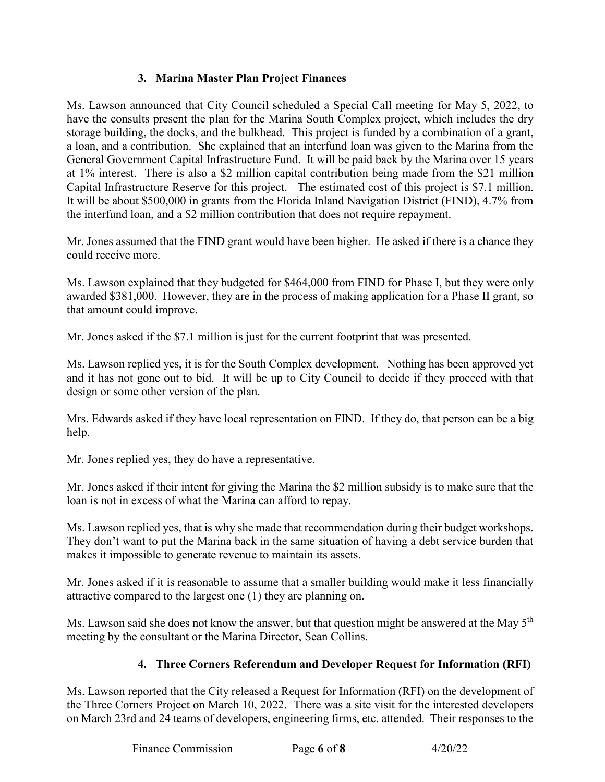## **3. Marina Master Plan Project Finances**

 storage building, the docks, and the bulkhead. This project is funded by a combination of a grant, a loan, and a contribution. She explained that an interfund loan was given to the Marina from the General Government Capital Infrastructure Fund. It will be paid back by the Marina over 15 years at 1% interest. There is also a \$2 million capital contribution being made from the \$21 million Capital Infrastructure Reserve for this project. The estimated cost of this project is \$7.1 million. the interfund loan, and a \$2 million contribution that does not require repayment. Ms. Lawson announced that City Council scheduled a Special Call meeting for May 5, 2022, to have the consults present the plan for the Marina South Complex project, which includes the dry It will be about \$500,000 in grants from the Florida Inland Navigation District (FIND), 4.7% from

 Mr. Jones assumed that the FIND grant would have been higher. He asked if there is a chance they could receive more.

 Ms. Lawson explained that they budgeted for \$464,000 from FIND for Phase I, but they were only awarded \$381,000. However, they are in the process of making application for a Phase II grant, so that amount could improve.

Mr. Jones asked if the \$7.1 million is just for the current footprint that was presented.

 Ms. Lawson replied yes, it is for the South Complex development. Nothing has been approved yet and it has not gone out to bid. It will be up to City Council to decide if they proceed with that design or some other version of the plan.

Mrs. Edwards asked if they have local representation on FIND. If they do, that person can be a big help.

Mr. Jones replied yes, they do have a representative.

 Mr. Jones asked if their intent for giving the Marina the \$2 million subsidy is to make sure that the loan is not in excess of what the Marina can afford to repay.

 Ms. Lawson replied yes, that is why she made that recommendation during their budget workshops. They don't want to put the Marina back in the same situation of having a debt service burden that makes it impossible to generate revenue to maintain its assets.

 Mr. Jones asked if it is reasonable to assume that a smaller building would make it less financially attractive compared to the largest one (1) they are planning on.

Ms. Lawson said she does not know the answer, but that question might be answered at the May 5<sup>th</sup> meeting by the consultant or the Marina Director, Sean Collins.

## **4. Three Corners Referendum and Developer Request for Information (RFI)**

 the Three Corners Project on March 10, 2022. There was a site visit for the interested developers on March 23rd and 24 teams of developers, engineering firms, etc. attended. Their responses to the Ms. Lawson reported that the City released a Request for Information (RFI) on the development of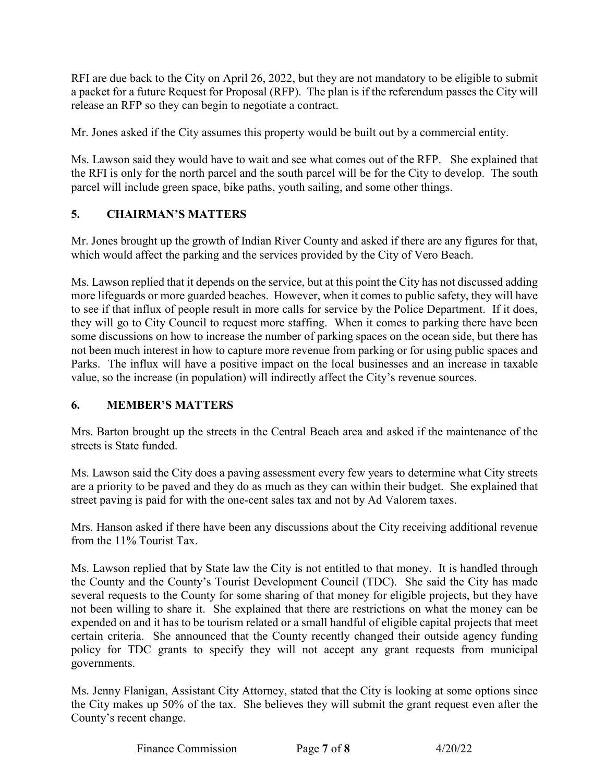RFI are due back to the City on April 26, 2022, but they are not mandatory to be eligible to submit release an RFP so they can begin to negotiate a contract. a packet for a future Request for Proposal (RFP). The plan is if the referendum passes the City will

Mr. Jones asked if the City assumes this property would be built out by a commercial entity.

 Ms. Lawson said they would have to wait and see what comes out of the RFP. She explained that the RFI is only for the north parcel and the south parcel will be for the City to develop. The south parcel will include green space, bike paths, youth sailing, and some other things.

## **5. CHAIRMAN'S MATTERS**

Mr. Jones brought up the growth of Indian River County and asked if there are any figures for that, which would affect the parking and the services provided by the City of Vero Beach.

 more lifeguards or more guarded beaches. However, when it comes to public safety, they will have to see if that influx of people result in more calls for service by the Police Department. If it does, they will go to City Council to request more staffing. When it comes to parking there have been some discussions on how to increase the number of parking spaces on the ocean side, but there has value, so the increase (in population) will indirectly affect the City's revenue sources. Ms. Lawson replied that it depends on the service, but at this point the City has not discussed adding not been much interest in how to capture more revenue from parking or for using public spaces and Parks. The influx will have a positive impact on the local businesses and an increase in taxable

## **6. MEMBER'S MATTERS**

 Mrs. Barton brought up the streets in the Central Beach area and asked if the maintenance of the streets is State funded.

 Ms. Lawson said the City does a paving assessment every few years to determine what City streets are a priority to be paved and they do as much as they can within their budget. She explained that street paving is paid for with the one-cent sales tax and not by Ad Valorem taxes.

 Mrs. Hanson asked if there have been any discussions about the City receiving additional revenue from the 11% Tourist Tax.

 Ms. Lawson replied that by State law the City is not entitled to that money. It is handled through the County and the County's Tourist Development Council (TDC). She said the City has made not been willing to share it. She explained that there are restrictions on what the money can be policy for TDC grants to specify they will not accept any grant requests from municipal several requests to the County for some sharing of that money for eligible projects, but they have expended on and it has to be tourism related or a small handful of eligible capital projects that meet certain criteria. She announced that the County recently changed their outside agency funding governments.

Ms. Jenny Flanigan, Assistant City Attorney, stated that the City is looking at some options since the City makes up 50% of the tax. She believes they will submit the grant request even after the County's recent change.

Finance Commission Page **7** of **8** 4/20/22